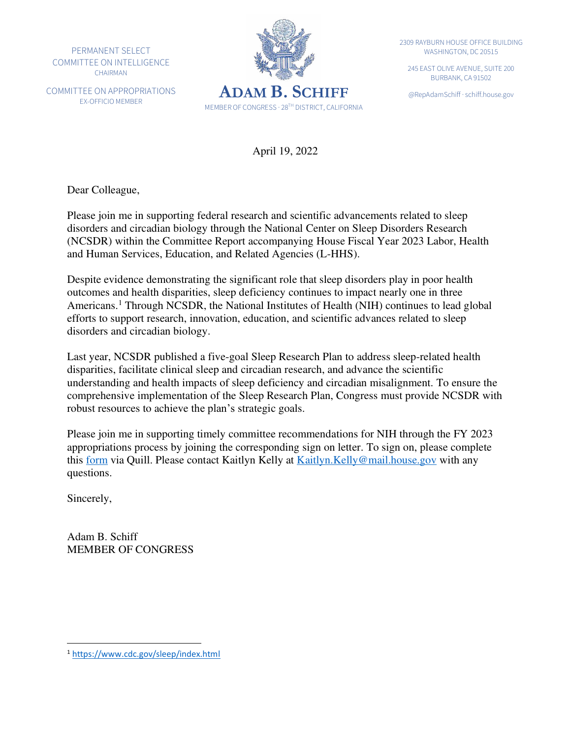PERMANENT SELECT COMMITTEE ON INTELLIGENCE CHAIRMAN

COMMITTEE ON APPROPRIATIONS EX-OFFICIO MEMBER



2309 RAYBURN HOUSE OFFICE BUILDING WASHINGTON, DC 20515

245 EAST OLIVE AVENUE, SUITE 200 BURBANK, CA 91502

April 19, 2022

Dear Colleague,

Please join me in supporting federal research and scientific advancements related to sleep disorders and circadian biology through the National Center on Sleep Disorders Research (NCSDR) within the Committee Report accompanying House Fiscal Year 2023 Labor, Health and Human Services, Education, and Related Agencies (L-HHS).

Despite evidence demonstrating the significant role that sleep disorders play in poor health outcomes and health disparities, sleep deficiency continues to impact nearly one in three Americans.<sup>1</sup> Through NCSDR, the National Institutes of Health (NIH) continues to lead global efforts to support research, innovation, education, and scientific advances related to sleep disorders and circadian biology.

Last year, NCSDR published a five-goal Sleep Research Plan to address sleep-related health disparities, facilitate clinical sleep and circadian research, and advance the scientific understanding and health impacts of sleep deficiency and circadian misalignment. To ensure the comprehensive implementation of the Sleep Research Plan, Congress must provide NCSDR with robust resources to achieve the plan's strategic goals.

Please join me in supporting timely committee recommendations for NIH through the FY 2023 appropriations process by joining the corresponding sign on letter. To sign on, please complete this [form](https://quill.senate.gov/letters/letter/3476/opt-in/view/16ffe1fe-2bf5-486e-93f1-3482166208e2/) via Quill. Please contact Kaitlyn Kelly at Kaitlyn. Kelly@mail.house.gov with any questions.

Sincerely,

Adam B. Schiff MEMBER OF CONGRESS

<sup>1</sup> <https://www.cdc.gov/sleep/index.html>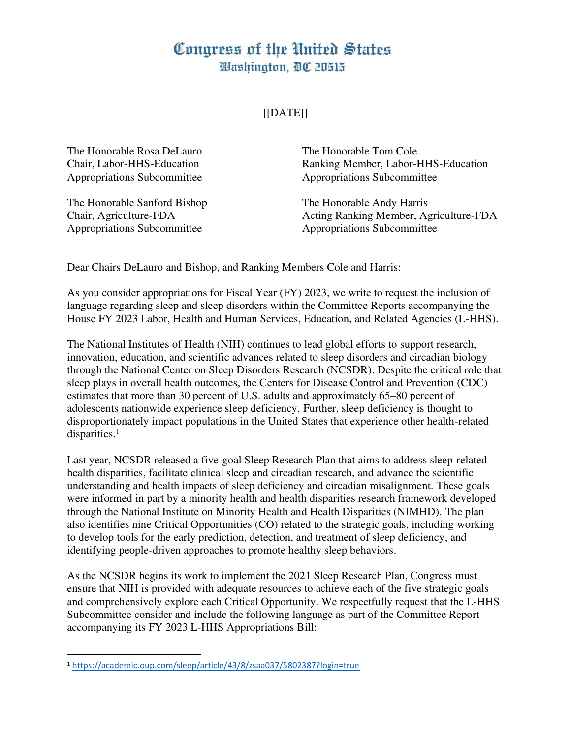## Congress of the United States Washington, DC 20515

## [[DATE]]

The Honorable Rosa DeLauro The Honorable Tom Cole Appropriations Subcommittee Appropriations Subcommittee

The Honorable Sanford Bishop The Honorable Andy Harris Appropriations Subcommittee Appropriations Subcommittee

Chair, Labor-HHS-Education Ranking Member, Labor-HHS-Education

Chair, Agriculture-FDA Acting Ranking Member, Agriculture-FDA

Dear Chairs DeLauro and Bishop, and Ranking Members Cole and Harris:

As you consider appropriations for Fiscal Year (FY) 2023, we write to request the inclusion of language regarding sleep and sleep disorders within the Committee Reports accompanying the House FY 2023 Labor, Health and Human Services, Education, and Related Agencies (L-HHS).

The National Institutes of Health (NIH) continues to lead global efforts to support research, innovation, education, and scientific advances related to sleep disorders and circadian biology through the National Center on Sleep Disorders Research (NCSDR). Despite the critical role that sleep plays in overall health outcomes, the Centers for Disease Control and Prevention (CDC) estimates that more than 30 percent of U.S. adults and approximately 65–80 percent of adolescents nationwide experience sleep deficiency. Further, sleep deficiency is thought to disproportionately impact populations in the United States that experience other health-related disparities.<sup>1</sup>

Last year, NCSDR released a five-goal Sleep Research Plan that aims to address sleep-related health disparities, facilitate clinical sleep and circadian research, and advance the scientific understanding and health impacts of sleep deficiency and circadian misalignment. These goals were informed in part by a minority health and health disparities research framework developed through the National Institute on Minority Health and Health Disparities (NIMHD). The plan also identifies nine Critical Opportunities (CO) related to the strategic goals, including working to develop tools for the early prediction, detection, and treatment of sleep deficiency, and identifying people-driven approaches to promote healthy sleep behaviors.

As the NCSDR begins its work to implement the 2021 Sleep Research Plan, Congress must ensure that NIH is provided with adequate resources to achieve each of the five strategic goals and comprehensively explore each Critical Opportunity. We respectfully request that the L-HHS Subcommittee consider and include the following language as part of the Committee Report accompanying its FY 2023 L-HHS Appropriations Bill:

<sup>1</sup> <https://academic.oup.com/sleep/article/43/8/zsaa037/5802387?login=true>